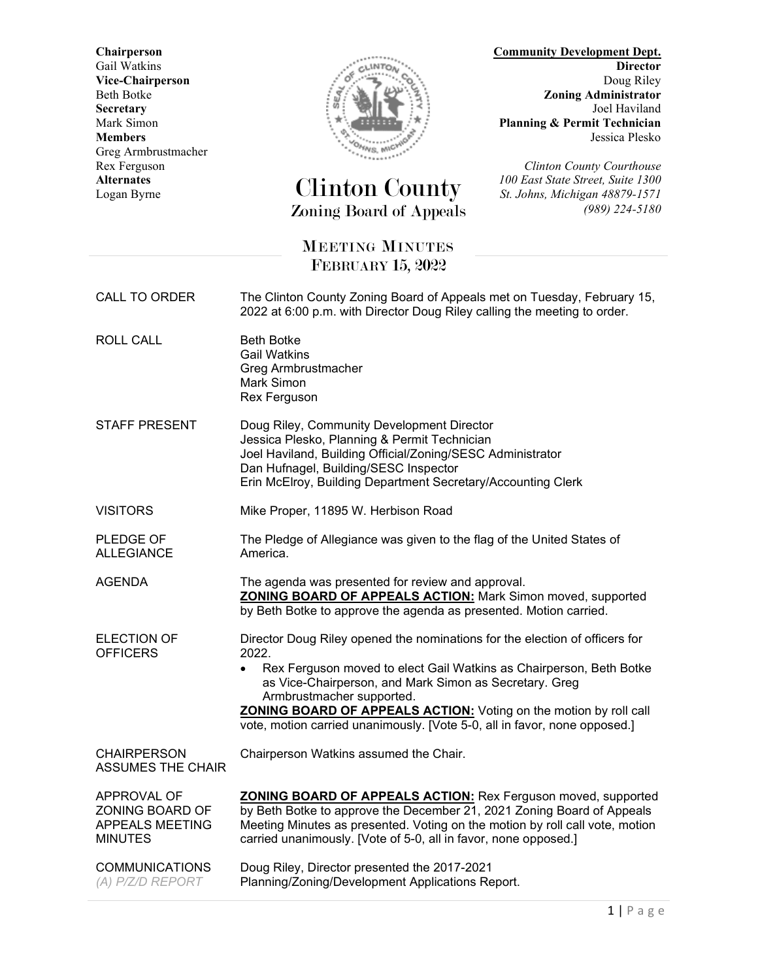Greg Armbrustmacher



## *Alternates 100 East Street Clinton County* Zoning Board of Appeals *(989) 224-5180*

**Chairperson Community Development Dept.** Gail Watkins **Director Director Director Vice-Chairperson** Doug Riley<br>Beth Botke **Doug Riley**<br>**References** Doug Riley<br>**References** Doug Riley<br>**Zoning Administrator** Beth Botke *Zoning Administrator Beth Botke Zoning Administrator Joel Haviland* **Secretary** Joel Haviland<br>Mark Simon Joel Haviland<br>Mark Simon **Planning & Permit Technician** Mark Simon **Planning & Permit Technician**<br>Members Jessica Plesko **Members** Jessica Plesko

Rex Ferguson<br> **Rex Ferguson**<br> **COLOGICITY COUNTING COUNTY COURTS ALTERNATIVE ALTERNATIVE ALTERNATIVE ALTERNATIVE ACCOUNT ACCOUNT ACCOUNT ACCOUNT ACCOUNT ACCOUNT ACCOUNT ACCOUNT ACCOUNT ACCOUNT ACCOUNT ACCOUNT ACCOUNT ACCOU** Logan Byrne *St. Johns, Michigan 48879-1571*

## MEETING MINUTES FEBRUARY 15, 2022

| CALL TO ORDER                                                              | The Clinton County Zoning Board of Appeals met on Tuesday, February 15,<br>2022 at 6:00 p.m. with Director Doug Riley calling the meeting to order.                                                                                                                                                                                                                                                                      |
|----------------------------------------------------------------------------|--------------------------------------------------------------------------------------------------------------------------------------------------------------------------------------------------------------------------------------------------------------------------------------------------------------------------------------------------------------------------------------------------------------------------|
| <b>ROLL CALL</b>                                                           | <b>Beth Botke</b><br><b>Gail Watkins</b><br>Greg Armbrustmacher<br>Mark Simon<br>Rex Ferguson                                                                                                                                                                                                                                                                                                                            |
| <b>STAFF PRESENT</b>                                                       | Doug Riley, Community Development Director<br>Jessica Plesko, Planning & Permit Technician<br>Joel Haviland, Building Official/Zoning/SESC Administrator<br>Dan Hufnagel, Building/SESC Inspector<br>Erin McElroy, Building Department Secretary/Accounting Clerk                                                                                                                                                        |
| <b>VISITORS</b>                                                            | Mike Proper, 11895 W. Herbison Road                                                                                                                                                                                                                                                                                                                                                                                      |
| PLEDGE OF<br><b>ALLEGIANCE</b>                                             | The Pledge of Allegiance was given to the flag of the United States of<br>America.                                                                                                                                                                                                                                                                                                                                       |
| <b>AGENDA</b>                                                              | The agenda was presented for review and approval.<br><b>ZONING BOARD OF APPEALS ACTION:</b> Mark Simon moved, supported<br>by Beth Botke to approve the agenda as presented. Motion carried.                                                                                                                                                                                                                             |
| <b>ELECTION OF</b><br><b>OFFICERS</b>                                      | Director Doug Riley opened the nominations for the election of officers for<br>2022.<br>Rex Ferguson moved to elect Gail Watkins as Chairperson, Beth Botke<br>$\bullet$<br>as Vice-Chairperson, and Mark Simon as Secretary. Greg<br>Armbrustmacher supported.<br><b>ZONING BOARD OF APPEALS ACTION:</b> Voting on the motion by roll call<br>vote, motion carried unanimously. [Vote 5-0, all in favor, none opposed.] |
| <b>CHAIRPERSON</b><br><b>ASSUMES THE CHAIR</b>                             | Chairperson Watkins assumed the Chair.                                                                                                                                                                                                                                                                                                                                                                                   |
| APPROVAL OF<br>ZONING BOARD OF<br><b>APPEALS MEETING</b><br><b>MINUTES</b> | <b>ZONING BOARD OF APPEALS ACTION:</b> Rex Ferguson moved, supported<br>by Beth Botke to approve the December 21, 2021 Zoning Board of Appeals<br>Meeting Minutes as presented. Voting on the motion by roll call vote, motion<br>carried unanimously. [Vote of 5-0, all in favor, none opposed.]                                                                                                                        |
| <b>COMMUNICATIONS</b><br>(A) P/Z/D REPORT                                  | Doug Riley, Director presented the 2017-2021<br>Planning/Zoning/Development Applications Report.                                                                                                                                                                                                                                                                                                                         |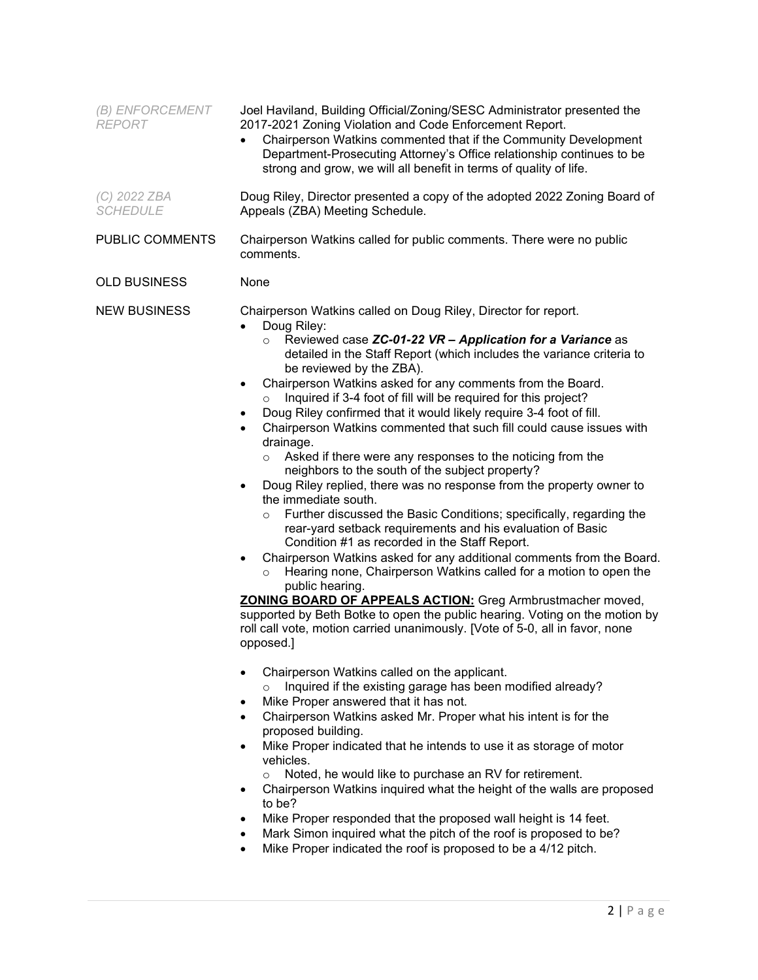| (B) ENFORCEMENT<br><b>REPORT</b> | Joel Haviland, Building Official/Zoning/SESC Administrator presented the<br>2017-2021 Zoning Violation and Code Enforcement Report.<br>Chairperson Watkins commented that if the Community Development<br>$\bullet$<br>Department-Prosecuting Attorney's Office relationship continues to be<br>strong and grow, we will all benefit in terms of quality of life.                                                                                                                                                                                                                                                                                                                                                                                                                                                                                                                                                                                                                                                                                                                                                                                                                                                                                                                                                                                                                                                                                                                                                                                                                                                                                                                                                                                                                                                                                                                                                                                                                                                                                                                                                                                                                                                            |
|----------------------------------|------------------------------------------------------------------------------------------------------------------------------------------------------------------------------------------------------------------------------------------------------------------------------------------------------------------------------------------------------------------------------------------------------------------------------------------------------------------------------------------------------------------------------------------------------------------------------------------------------------------------------------------------------------------------------------------------------------------------------------------------------------------------------------------------------------------------------------------------------------------------------------------------------------------------------------------------------------------------------------------------------------------------------------------------------------------------------------------------------------------------------------------------------------------------------------------------------------------------------------------------------------------------------------------------------------------------------------------------------------------------------------------------------------------------------------------------------------------------------------------------------------------------------------------------------------------------------------------------------------------------------------------------------------------------------------------------------------------------------------------------------------------------------------------------------------------------------------------------------------------------------------------------------------------------------------------------------------------------------------------------------------------------------------------------------------------------------------------------------------------------------------------------------------------------------------------------------------------------------|
| (C) 2022 ZBA<br><b>SCHEDULE</b>  | Doug Riley, Director presented a copy of the adopted 2022 Zoning Board of<br>Appeals (ZBA) Meeting Schedule.                                                                                                                                                                                                                                                                                                                                                                                                                                                                                                                                                                                                                                                                                                                                                                                                                                                                                                                                                                                                                                                                                                                                                                                                                                                                                                                                                                                                                                                                                                                                                                                                                                                                                                                                                                                                                                                                                                                                                                                                                                                                                                                 |
| PUBLIC COMMENTS                  | Chairperson Watkins called for public comments. There were no public<br>comments.                                                                                                                                                                                                                                                                                                                                                                                                                                                                                                                                                                                                                                                                                                                                                                                                                                                                                                                                                                                                                                                                                                                                                                                                                                                                                                                                                                                                                                                                                                                                                                                                                                                                                                                                                                                                                                                                                                                                                                                                                                                                                                                                            |
| <b>OLD BUSINESS</b>              | None                                                                                                                                                                                                                                                                                                                                                                                                                                                                                                                                                                                                                                                                                                                                                                                                                                                                                                                                                                                                                                                                                                                                                                                                                                                                                                                                                                                                                                                                                                                                                                                                                                                                                                                                                                                                                                                                                                                                                                                                                                                                                                                                                                                                                         |
| <b>NEW BUSINESS</b>              | Chairperson Watkins called on Doug Riley, Director for report.<br>Doug Riley:<br>$\bullet$<br>Reviewed case ZC-01-22 VR - Application for a Variance as<br>$\circ$<br>detailed in the Staff Report (which includes the variance criteria to<br>be reviewed by the ZBA).<br>Chairperson Watkins asked for any comments from the Board.<br>٠<br>Inquired if 3-4 foot of fill will be required for this project?<br>$\circ$<br>Doug Riley confirmed that it would likely require 3-4 foot of fill.<br>٠<br>Chairperson Watkins commented that such fill could cause issues with<br>$\bullet$<br>drainage.<br>Asked if there were any responses to the noticing from the<br>$\circ$<br>neighbors to the south of the subject property?<br>Doug Riley replied, there was no response from the property owner to<br>the immediate south.<br>o Further discussed the Basic Conditions; specifically, regarding the<br>rear-yard setback requirements and his evaluation of Basic<br>Condition #1 as recorded in the Staff Report.<br>Chairperson Watkins asked for any additional comments from the Board.<br>$\bullet$<br>Hearing none, Chairperson Watkins called for a motion to open the<br>$\circ$<br>public hearing.<br>ZONING BOARD OF APPEALS ACTION: Greg Armbrustmacher moved,<br>supported by Beth Botke to open the public hearing. Voting on the motion by<br>roll call vote, motion carried unanimously. [Vote of 5-0, all in favor, none<br>opposed.]<br>Chairperson Watkins called on the applicant.<br>٠<br>Inquired if the existing garage has been modified already?<br>O<br>Mike Proper answered that it has not.<br>٠<br>Chairperson Watkins asked Mr. Proper what his intent is for the<br>$\bullet$<br>proposed building.<br>Mike Proper indicated that he intends to use it as storage of motor<br>vehicles.<br>Noted, he would like to purchase an RV for retirement.<br>$\circ$<br>Chairperson Watkins inquired what the height of the walls are proposed<br>٠<br>to be?<br>Mike Proper responded that the proposed wall height is 14 feet.<br>٠<br>Mark Simon inquired what the pitch of the roof is proposed to be?<br>٠<br>Mike Proper indicated the roof is proposed to be a 4/12 pitch.<br>$\bullet$ |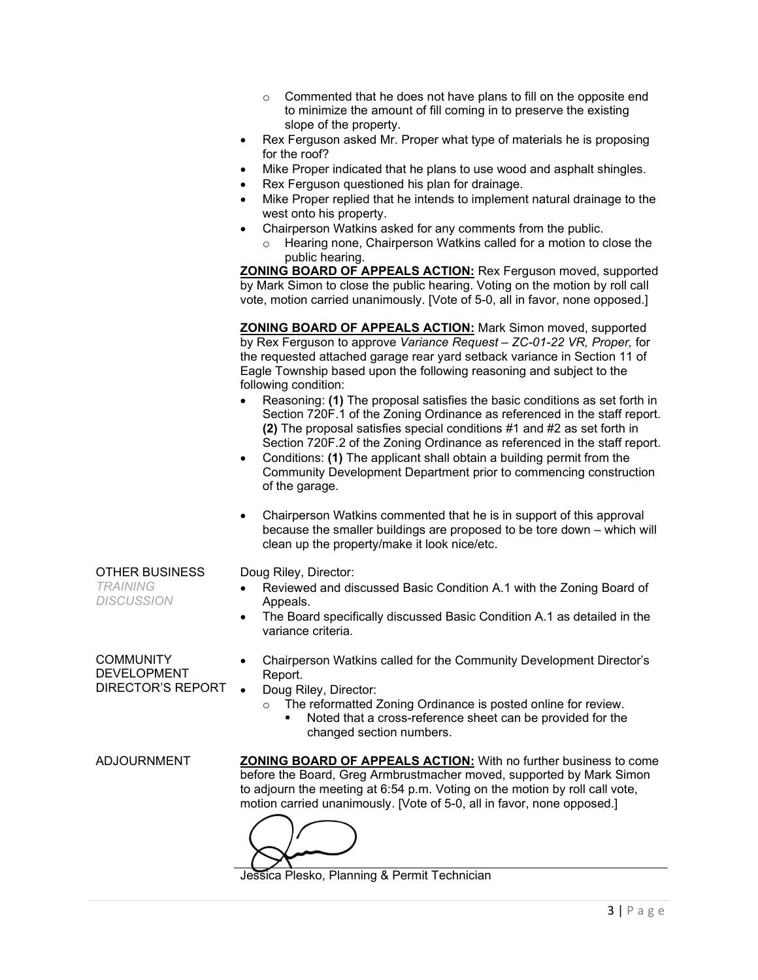- o Commented that he does not have plans to fill on the opposite end to minimize the amount of fill coming in to preserve the existing slope of the property.
- Rex Ferguson asked Mr. Proper what type of materials he is proposing for the roof?
- Mike Proper indicated that he plans to use wood and asphalt shingles.
- Rex Ferguson questioned his plan for drainage.
- Mike Proper replied that he intends to implement natural drainage to the west onto his property.
- Chairperson Watkins asked for any comments from the public.
	- o Hearing none, Chairperson Watkins called for a motion to close the public hearing.

**ZONING BOARD OF APPEALS ACTION:** Rex Ferguson moved, supported by Mark Simon to close the public hearing. Voting on the motion by roll call vote, motion carried unanimously. [Vote of 5-0, all in favor, none opposed.]

**ZONING BOARD OF APPEALS ACTION:** Mark Simon moved, supported by Rex Ferguson to approve *Variance Request – ZC-01-22 VR, Proper,* for the requested attached garage rear yard setback variance in Section 11 of Eagle Township based upon the following reasoning and subject to the following condition:

- Reasoning: **(1)** The proposal satisfies the basic conditions as set forth in Section 720F.1 of the Zoning Ordinance as referenced in the staff report. **(2)** The proposal satisfies special conditions #1 and #2 as set forth in Section 720F.2 of the Zoning Ordinance as referenced in the staff report.
- Conditions: **(1)** The applicant shall obtain a building permit from the Community Development Department prior to commencing construction of the garage.
- Chairperson Watkins commented that he is in support of this approval because the smaller buildings are proposed to be tore down – which will clean up the property/make it look nice/etc.

| OTHER BUSINESS<br><b>TRAINING</b><br><b>DISCUSSION</b> | Doug Riley, Director:<br>Reviewed and discussed Basic Condition A.1 with the Zoning Board of<br>Appeals.<br>The Board specifically discussed Basic Condition A.1 as detailed in the<br>$\bullet$<br>variance criteria.                                                                                   |
|--------------------------------------------------------|----------------------------------------------------------------------------------------------------------------------------------------------------------------------------------------------------------------------------------------------------------------------------------------------------------|
| COMMUNITY<br><b>DEVELOPMENT</b><br>DIRECTOR'S REPORT   | Chairperson Watkins called for the Community Development Director's<br>Report.<br>Doug Riley, Director:<br>The reformatted Zoning Ordinance is posted online for review.<br>$\Omega$<br>Noted that a cross-reference sheet can be provided for the<br>changed section numbers.                           |
| ADJOURNMENT                                            | <b>ZONING BOARD OF APPEALS ACTION:</b> With no further business to come<br>before the Board, Greg Armbrustmacher moved, supported by Mark Simon<br>to adjourn the meeting at 6:54 p.m. Voting on the motion by roll call vote,<br>motion carried unanimously. [Vote of 5-0, all in favor, none opposed.] |

Jessica Plesko, Planning & Permit Technician